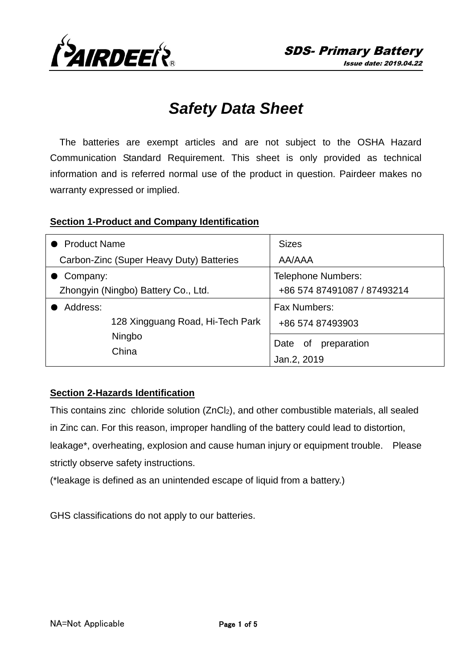

# *Safety Data Sheet*

 The batteries are exempt articles and are not subject to the OSHA Hazard Communication Standard Requirement. This sheet is only provided as technical information and is referred normal use of the product in question. Pairdeer makes no warranty expressed or implied.

## **Section 1-Product and Company Identification**

| • Product Name                                  | <b>Sizes</b>                                             |  |
|-------------------------------------------------|----------------------------------------------------------|--|
| Carbon-Zinc (Super Heavy Duty) Batteries        | AA/AAA                                                   |  |
| Company:<br>Zhongyin (Ningbo) Battery Co., Ltd. | <b>Telephone Numbers:</b><br>+86 574 87491087 / 87493214 |  |
| Address:<br>128 Xingguang Road, Hi-Tech Park    | Fax Numbers:<br>+86 574 87493903                         |  |
| Ningbo<br>China                                 | preparation<br>Date of<br>Jan.2, 2019                    |  |

## **Section 2-Hazards Identification**

This contains zinc chloride [solution](javascript:;) (ZnCl2), and other combustible materials, all sealed in Zinc can. For this reason, improper handling of the battery could lead to distortion, leakage\*, overheating, explosion and cause human injury or equipment trouble. Please strictly observe safety instructions.

(\*leakage is defined as an unintended escape of liquid from a battery.)

GHS classifications do not apply to our batteries.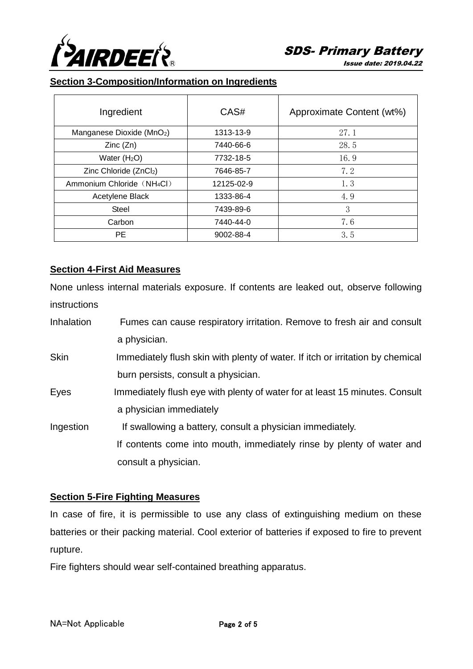

### **Section 3-Composition/Information on Ingredients**

| Ingredient                             | CAS#       | Approximate Content (wt%) |
|----------------------------------------|------------|---------------------------|
| Manganese Dioxide (MnO2)               | 1313-13-9  | 27.1                      |
| Zinc(Zn)                               | 7440-66-6  | 28.5                      |
| Water $(H2O)$                          | 7732-18-5  | 16.9                      |
| Zinc Chloride (ZnCl2)                  | 7646-85-7  | 7.2                       |
| Ammonium Chloride (NH <sub>4</sub> Cl) | 12125-02-9 | 1.3                       |
| Acetylene Black                        | 1333-86-4  | 4.9                       |
| Steel                                  | 7439-89-6  | 3                         |
| Carbon                                 | 7440-44-0  | 7.6                       |
| РE                                     | 9002-88-4  | 3.5                       |

#### **Section 4-First Aid Measures**

None unless internal materials exposure. If contents are leaked out, observe following instructions

| <b>Inhalation</b> | Fumes can cause respiratory irritation. Remove to fresh air and consult |
|-------------------|-------------------------------------------------------------------------|
|                   | a physician.                                                            |

- Skin Immediately flush skin with plenty of water. If itch or irritation by chemical burn persists, consult a physician.
- Eyes Immediately flush eye with plenty of water for at least 15 minutes. Consult a physician immediately

Ingestion If swallowing a battery, consult a physician immediately.

 If contents come into mouth, immediately rinse by plenty of water and consult a physician.

### **Section 5-Fire Fighting Measures**

In case of fire, it is permissible to use any class of extinguishing medium on these batteries or their packing material. Cool exterior of batteries if exposed to fire to prevent rupture.

Fire fighters should wear self-contained breathing apparatus.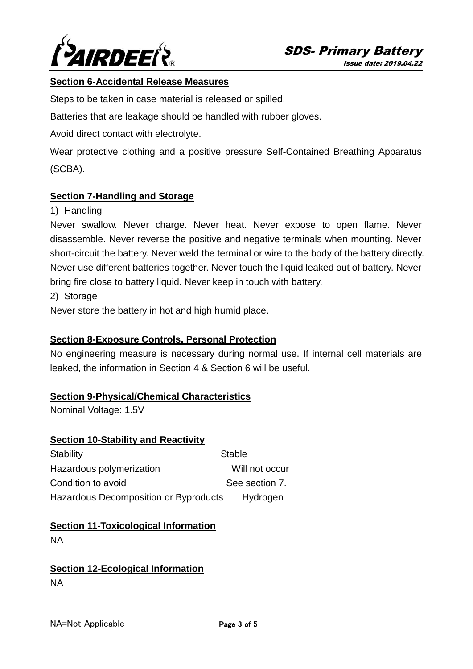

### **Section 6-Accidental Release Measures**

Steps to be taken in case material is released or spilled.

Batteries that are leakage should be handled with rubber gloves.

Avoid direct contact with electrolyte.

Wear protective clothing and a positive pressure Self-Contained Breathing Apparatus (SCBA).

## **Section 7-Handling and Storage**

1) Handling

Never swallow. Never charge. Never heat. Never expose to open flame. Never disassemble. Never reverse the positive and negative terminals when mounting. Never short-circuit the battery. Never weld the terminal or wire to the body of the battery directly. Never use different batteries together. Never touch the liquid leaked out of battery. Never bring fire close to battery liquid. Never keep in touch with battery.

2) Storage

Never store the battery in hot and high humid place.

### **Section 8-Exposure Controls, Personal Protection**

No engineering measure is necessary during normal use. If internal cell materials are leaked, the information in Section 4 & Section 6 will be useful.

### **Section 9-Physical/Chemical Characteristics**

Nominal Voltage: 1.5V

### **Section 10-Stability and Reactivity**

| Stability                                    | <b>Stable</b>  |
|----------------------------------------------|----------------|
| Hazardous polymerization                     | Will not occur |
| Condition to avoid                           | See section 7. |
| <b>Hazardous Decomposition or Byproducts</b> | Hydrogen       |

## **Section 11-Toxicological Information** NA

**Section 12-Ecological Information** NA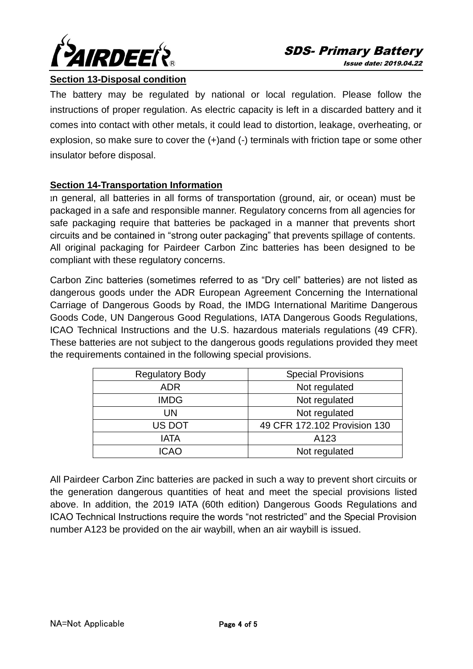

### **Section 13-Disposal condition**

The battery may be regulated by national or local regulation. Please follow the instructions of proper regulation. As electric capacity is left in a discarded battery and it comes into contact with other metals, it could lead to distortion, leakage, overheating, or explosion, so make sure to cover the (+)and (-) terminals with friction tape or some other insulator before disposal.

## **Section 14-Transportation Information**

In general, all batteries in all forms of transportation (ground, air, or ocean) must be packaged in a safe and responsible manner. Regulatory concerns from all agencies for safe packaging require that batteries be packaged in a manner that prevents short circuits and be contained in "strong outer packaging" that prevents spillage of contents. All original packaging for Pairdeer Carbon Zinc batteries has been designed to be compliant with these regulatory concerns.

Carbon Zinc batteries (sometimes referred to as "Dry cell" batteries) are not listed as dangerous goods under the ADR European Agreement Concerning the International Carriage of Dangerous Goods by Road, the IMDG International Maritime Dangerous Goods Code, UN Dangerous Good Regulations, IATA Dangerous Goods Regulations, ICAO Technical Instructions and the U.S. hazardous materials regulations (49 CFR). These batteries are not subject to the dangerous goods regulations provided they meet the requirements contained in the following special provisions.

| <b>Regulatory Body</b> | <b>Special Provisions</b>    |
|------------------------|------------------------------|
| <b>ADR</b>             | Not regulated                |
| <b>IMDG</b>            | Not regulated                |
| UN                     | Not regulated                |
| US DOT                 | 49 CFR 172.102 Provision 130 |
| <b>IATA</b>            | A123                         |
| <b>ICAO</b>            | Not regulated                |

All Pairdeer Carbon Zinc batteries are packed in such a way to prevent short circuits or the generation dangerous quantities of heat and meet the special provisions listed above. In addition, the 2019 IATA (60th edition) Dangerous Goods Regulations and ICAO Technical Instructions require the words "not restricted" and the Special Provision number A123 be provided on the air waybill, when an air waybill is issued.